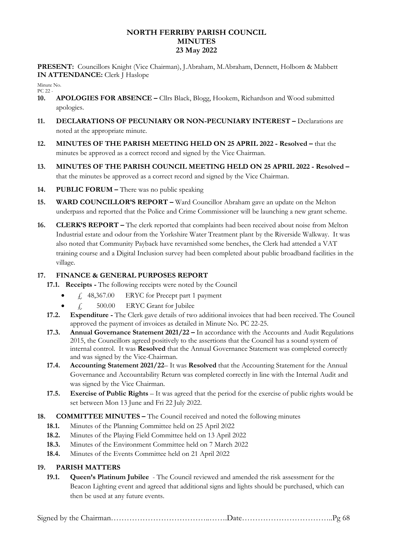### **NORTH FERRIBY PARISH COUNCIL MINUTES 23 May 2022**

**PRESENT:** Councillors Knight (Vice Chairman), J.Abraham, M.Abraham, Dennett, Holborn & Mabbett **IN ATTENDANCE:** Clerk J Haslope

Minute No. PC 22 -

- **10. APOLOGIES FOR ABSENCE –** Cllrs Black, Blogg, Hookem, Richardson and Wood submitted apologies.
- **11. DECLARATIONS OF PECUNIARY OR NON-PECUNIARY INTEREST –** Declarations are noted at the appropriate minute.
- **12. MINUTES OF THE PARISH MEETING HELD ON 25 APRIL 2022 - Resolved –** that the minutes be approved as a correct record and signed by the Vice Chairman.
- **13. MINUTES OF THE PARISH COUNCIL MEETING HELD ON 25 APRIL 2022 - Resolved –** that the minutes be approved as a correct record and signed by the Vice Chairman.
- **14. PUBLIC FORUM –** There was no public speaking
- **15. WARD COUNCILLOR'S REPORT –** Ward Councillor Abraham gave an update on the Melton underpass and reported that the Police and Crime Commissioner will be launching a new grant scheme.
- **16. CLERK'S REPORT –** The clerk reported that complaints had been received about noise from Melton Industrial estate and odour from the Yorkshire Water Treatment plant by the Riverside Walkway. It was also noted that Community Payback have revarnished some benches, the Clerk had attended a VAT training course and a Digital Inclusion survey had been completed about public broadband facilities in the village.

## **17. FINANCE & GENERAL PURPOSES REPORT**

**17.1. Receipts -** The following receipts were noted by the Council

- $\angle$  48,367.00 ERYC for Precept part 1 payment
- $f_{\rm t}$  500.00 ERYC Grant for Jubilee
- **17.2. Expenditure -** The Clerk gave details of two additional invoices that had been received. The Council approved the payment of invoices as detailed in Minute No. PC 22-25.
- **17.3. Annual Governance Statement 2021/22 –** In accordance with the Accounts and Audit Regulations 2015, the Councillors agreed positively to the assertions that the Council has a sound system of internal control. It was **Resolved** that the Annual Governance Statement was completed correctly and was signed by the Vice-Chairman.
- **17.4. Accounting Statement 2021/22** It was **Resolved** that the Accounting Statement for the Annual Governance and Accountability Return was completed correctly in line with the Internal Audit and was signed by the Vice Chairman.
- **17.5. Exercise of Public Rights** It was agreed that the period for the exercise of public rights would be set between Mon 13 June and Fri 22 July 2022.
- **18. COMMITTEE MINUTES –** The Council received and noted the following minutes
	- **18.1.** Minutes of the Planning Committee held on 25 April 2022
	- **18.2.** Minutes of the Playing Field Committee held on 13 April 2022
	- **18.3.** Minutes of the Environment Committee held on 7 March 2022
	- **18.4.** Minutes of the Events Committee held on 21 April 2022

#### **19. PARISH MATTERS**

**19.1. Queen's Platinum Jubilee** - The Council reviewed and amended the risk assessment for the Beacon Lighting event and agreed that additional signs and lights should be purchased, which can then be used at any future events.

|--|--|--|--|--|